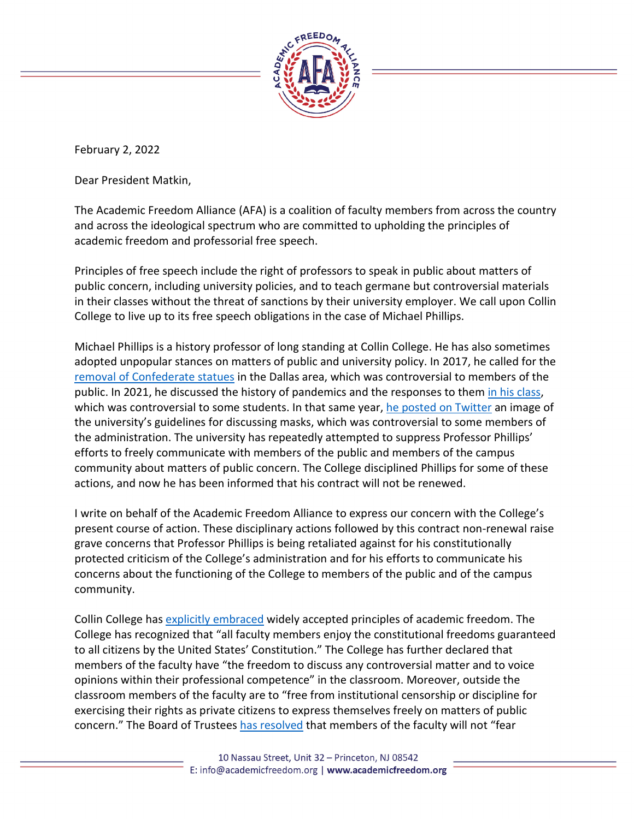

February 2, 2022

Dear President Matkin,

The Academic Freedom Alliance (AFA) is a coalition of faculty members from across the country and across the ideological spectrum who are committed to upholding the principles of academic freedom and professorial free speech.

Principles of free speech include the right of professors to speak in public about matters of public concern, including university policies, and to teach germane but controversial materials in their classes without the threat of sanctions by their university employer. We call upon Collin College to live up to its free speech obligations in the case of Michael Phillips.

Michael Phillips is a history professor of long standing at Collin College. He has also sometimes adopted unpopular stances on matters of public and university policy. In 2017, he called for the [removal of Confederate statues](https://www.dallasnews.com/opinion/commentary/2017/08/04/dallas-confederate-memorials-scream-white-supremacy/) in the Dallas area, which was controversial to members of the public. In 2021, he discussed the history of pandemics and the responses to them [in his class,](https://www.chronicle.com/article/days-after-settling-a-lawsuit-a-texas-college-ousts-another-outspoken-professor) which was controversial to some students. In that same year, [he posted on Twitter](https://twitter.com/drphillips2001/status/1425638075217195008) an image of the university's guidelines for discussing masks, which was controversial to some members of the administration. The university has repeatedly attempted to suppress Professor Phillips' efforts to freely communicate with members of the public and members of the campus community about matters of public concern. The College disciplined Phillips for some of these actions, and now he has been informed that his contract will not be renewed.

I write on behalf of the Academic Freedom Alliance to express our concern with the College's present course of action. These disciplinary actions followed by this contract non-renewal raise grave concerns that Professor Phillips is being retaliated against for his constitutionally protected criticism of the College's administration and for his efforts to communicate his concerns about the functioning of the College to members of the public and of the campus community.

Collin College has [explicitly embraced](https://www.collin.edu/hr/boardpolicies/May2020/DGCfirst.pdf) widely accepted principles of academic freedom. The College has recognized that "all faculty members enjoy the constitutional freedoms guaranteed to all citizens by the United States' Constitution." The College has further declared that members of the faculty have "the freedom to discuss any controversial matter and to voice opinions within their professional competence" in the classroom. Moreover, outside the classroom members of the faculty are to "free from institutional censorship or discipline for exercising their rights as private citizens to express themselves freely on matters of public concern." The Board of Trustee[s has resolved](https://www.collin.edu/hr/boardpolicies/May2020/DGCfirst.pdf) that members of the faculty will not "fear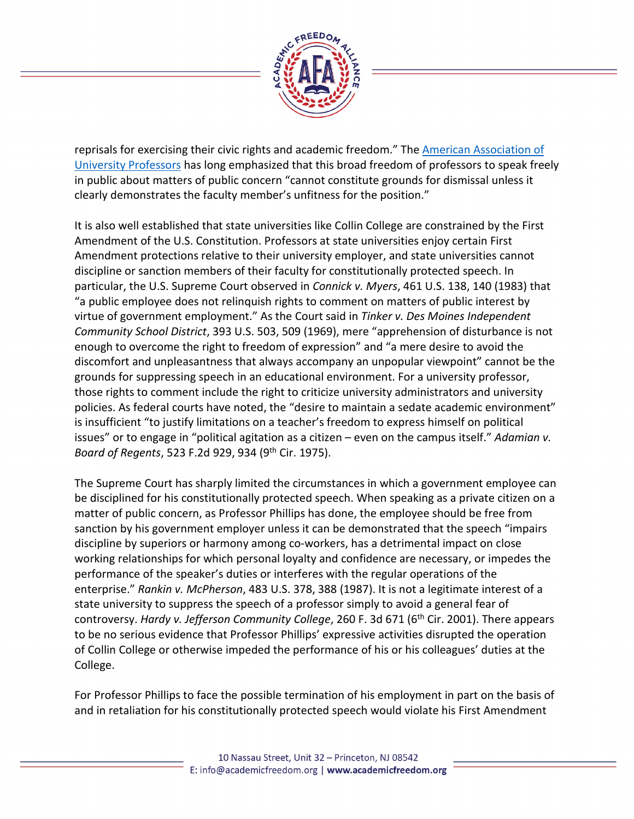

reprisals for exercising their civic rights and academic freedom." The [American Association of](https://www.aaup.org/report/1940-statement-principles-academic-freedom-and-tenure)  [University Professors](https://www.aaup.org/report/1940-statement-principles-academic-freedom-and-tenure) has long emphasized that this broad freedom of professors to speak freely in public about matters of public concern "cannot constitute grounds for dismissal unless it clearly demonstrates the faculty member's unfitness for the position."

It is also well established that state universities like Collin College are constrained by the First Amendment of the U.S. Constitution. Professors at state universities enjoy certain First Amendment protections relative to their university employer, and state universities cannot discipline or sanction members of their faculty for constitutionally protected speech. In particular, the U.S. Supreme Court observed in *Connick v. Myers*, 461 U.S. 138, 140 (1983) that "a public employee does not relinquish rights to comment on matters of public interest by virtue of government employment." As the Court said in *Tinker v. Des Moines Independent Community School District*, 393 U.S. 503, 509 (1969), mere "apprehension of disturbance is not enough to overcome the right to freedom of expression" and "a mere desire to avoid the discomfort and unpleasantness that always accompany an unpopular viewpoint" cannot be the grounds for suppressing speech in an educational environment. For a university professor, those rights to comment include the right to criticize university administrators and university policies. As federal courts have noted, the "desire to maintain a sedate academic environment" is insufficient "to justify limitations on a teacher's freedom to express himself on political issues" or to engage in "political agitation as a citizen – even on the campus itself." *Adamian v. Board of Regents*, 523 F.2d 929, 934 (9th Cir. 1975).

The Supreme Court has sharply limited the circumstances in which a government employee can be disciplined for his constitutionally protected speech. When speaking as a private citizen on a matter of public concern, as Professor Phillips has done, the employee should be free from sanction by his government employer unless it can be demonstrated that the speech "impairs discipline by superiors or harmony among co-workers, has a detrimental impact on close working relationships for which personal loyalty and confidence are necessary, or impedes the performance of the speaker's duties or interferes with the regular operations of the enterprise." *Rankin v. McPherson*, 483 U.S. 378, 388 (1987). It is not a legitimate interest of a state university to suppress the speech of a professor simply to avoid a general fear of controversy. *Hardy v. Jefferson Community College*, 260 F. 3d 671 (6th Cir. 2001). There appears to be no serious evidence that Professor Phillips' expressive activities disrupted the operation of Collin College or otherwise impeded the performance of his or his colleagues' duties at the College.

For Professor Phillips to face the possible termination of his employment in part on the basis of and in retaliation for his constitutionally protected speech would violate his First Amendment